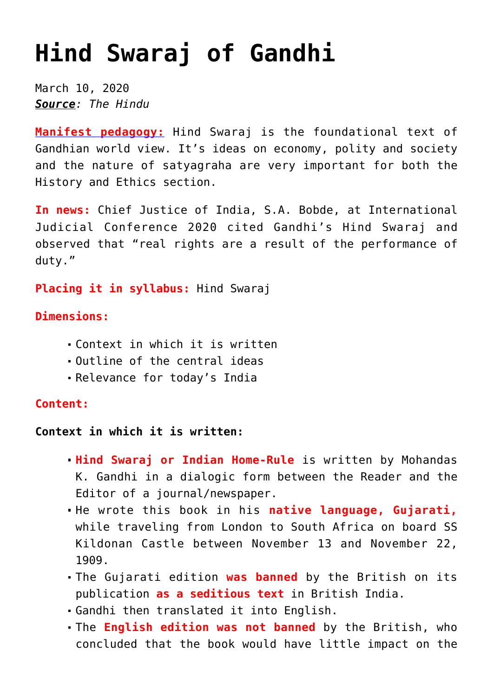# **[Hind Swaraj of Gandhi](https://journalsofindia.com/hind-swaraj-of-gandhi/)**

March 10, 2020 *Source: The Hindu*

**[Manifest pedagogy:](https://www.manifestias.com/2018/11/05/manifest-pedagogy-looking-beyond-the-issue/)** Hind Swaraj is the foundational text of Gandhian world view. It's ideas on economy, polity and society and the nature of satyagraha are very important for both the History and Ethics section.

**In news:** Chief Justice of India, S.A. Bobde, at International Judicial Conference 2020 cited Gandhi's Hind Swaraj and observed that "real rights are a result of the performance of duty."

**Placing it in syllabus:** Hind Swaraj

**Dimensions:**

- Context in which it is written
- Outline of the central ideas
- Relevance for today's India

## **Content:**

**Context in which it is written:**

- **Hind Swaraj or Indian Home-Rule** is written by Mohandas K. Gandhi in a dialogic form between the Reader and the Editor of a journal/newspaper.
- He wrote this book in his **native language, Gujarati,** while traveling from London to South Africa on board SS Kildonan Castle between November 13 and November 22, 1909.
- The Gujarati edition **was banned** by the British on its publication **as a seditious text** in British India.
- Gandhi then translated it into English.
- The **English edition was not banned** by the British, who concluded that the book would have little impact on the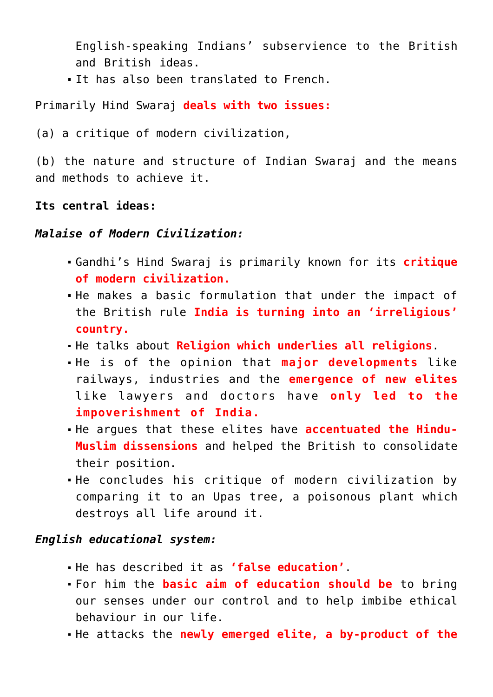English-speaking Indians' subservience to the British and British ideas.

It has also been translated to French.

Primarily Hind Swaraj **deals with two issues:**

(a) a critique of modern civilization,

(b) the nature and structure of Indian Swaraj and the means and methods to achieve it.

#### **Its central ideas:**

## *Malaise of Modern Civilization:*

- Gandhi's Hind Swaraj is primarily known for its **critique of modern civilization.**
- He makes a basic formulation that under the impact of the British rule **India is turning into an 'irreligious' country.**
- He talks about **Religion which underlies all religions**.
- He is of the opinion that **major developments** like railways, industries and the **emergence of new elites** like lawyers and doctors have **only led to the impoverishment of India.**
- $\blacksquare$  He argues that these elites have **accentuated the Hindu-Muslim dissensions** and helped the British to consolidate their position.
- He concludes his critique of modern civilization by comparing it to an Upas tree, a poisonous plant which destroys all life around it.

#### *English educational system:*

- He has described it as **'false education'**.
- For him the **basic aim of education should be** to bring our senses under our control and to help imbibe ethical behaviour in our life.
- He attacks the **newly emerged elite, a by-product of the**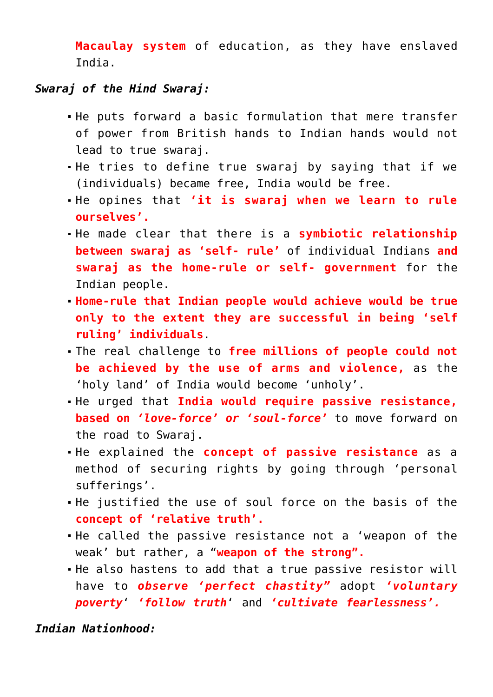**Macaulay system** of education, as they have enslaved India.

## *Swaraj of the Hind Swaraj:*

- He puts forward a basic formulation that mere transfer of power from British hands to Indian hands would not lead to true swaraj.
- He tries to define true swaraj by saying that if we (individuals) became free, India would be free.
- He opines that **'it is swaraj when we learn to rule ourselves'.**
- He made clear that there is a **symbiotic relationship between swaraj as 'self- rule'** of individual Indians **and swaraj as the home-rule or self- government** for the Indian people.
- **Home-rule that Indian people would achieve would be true only to the extent they are successful in being 'self ruling' individuals**.
- The real challenge to **free millions of people could not be achieved by the use of arms and violence,** as the 'holy land' of India would become 'unholy'.
- He urged that **India would require passive resistance, based on** *'love-force' or 'soul-force'* to move forward on the road to Swaraj.
- He explained the **concept of passive resistance** as a method of securing rights by going through 'personal sufferings'.
- He justified the use of soul force on the basis of the **concept of 'relative truth'.**
- He called the passive resistance not a 'weapon of the weak' but rather, a "**weapon of the strong".**
- He also hastens to add that a true passive resistor will have to *observe 'perfect chastity"* adopt *'voluntary poverty*' *'follow truth*' and *'cultivate fearlessness'.*

*Indian Nationhood:*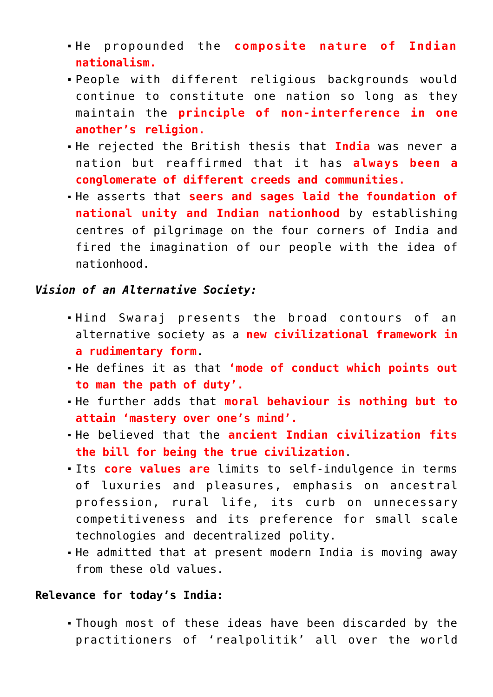- He propounded the **composite nature of Indian nationalism.**
- People with different religious backgrounds would continue to constitute one nation so long as they maintain the **principle of non-interference in one another's religion.**
- He rejected the British thesis that **India** was never a nation but reaffirmed that it has **always been a conglomerate of different creeds and communities.**
- He asserts that **seers and sages laid the foundation of national unity and Indian nationhood** by establishing centres of pilgrimage on the four corners of India and fired the imagination of our people with the idea of nationhood.

## *Vision of an Alternative Society:*

- Hind Swaraj presents the broad contours of an alternative society as a **new civilizational framework in a rudimentary form**.
- He defines it as that **'mode of conduct which points out to man the path of duty'.**
- He further adds that **moral behaviour is nothing but to attain 'mastery over one's mind'.**
- He believed that the **ancient Indian civilization fits the bill for being the true civilization**.
- Its **core values are** limits to self-indulgence in terms of luxuries and pleasures, emphasis on ancestral profession, rural life, its curb on unnecessary competitiveness and its preference for small scale technologies and decentralized polity.
- He admitted that at present modern India is moving away from these old values.

## **Relevance for today's India:**

Though most of these ideas have been discarded by the practitioners of 'realpolitik' all over the world